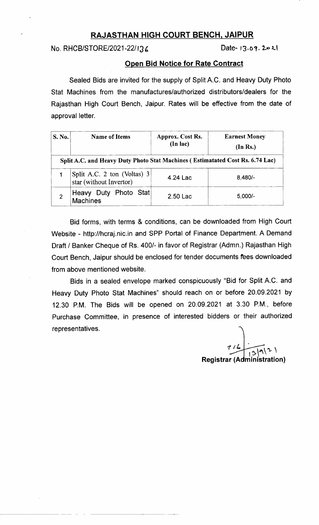# RAJASTHAN HIGH COURT BENCH, JAIPUR

 $No. RHCB/STORE/2021-22/136$  Date-13.09.2021

## Open Bid Notice for Rate Contract

Sealed Bids are invited for the supply of Split A.C. and Heavy Duty Photo Stat Machines from the manufactures/authorized distributors/dealers for the Rajasthan High Court Bench, Jaipur. Rates will be effective from the date of approval letter.

| S. No.         | <b>Name of Items</b>                                                          | Approx. Cost Rs.<br>(In lac) | <b>Earnest Money</b><br>(In Rs.) |  |
|----------------|-------------------------------------------------------------------------------|------------------------------|----------------------------------|--|
|                | Split A.C. and Heavy Duty Photo Stat Machines (Estimatated Cost Rs. 6.74 Lac) |                              |                                  |  |
|                | Split A.C. 2 ton (Voltas) 3<br>star (without Invertor)                        | 4.24 Lac                     | $8,480/-$                        |  |
| $\overline{2}$ | ∴ Duty Photo Stat∣<br>,Heavy<br><b>Machines</b>                               | 2.50 Lac                     | $5,000/-$                        |  |

Bid forms, with terms & conditions, can be downloaded from High Court Website - http://hcraj.nic.in and SPP Portal of Finance Department. A Demand Draft / Banker Cheque of Rs. 400/- in favor of Registrar (Admn.) Rajasthan High Court Bench, Jaipur should be enclosed for tender documents fees downloaded from above mentioned website.

Bids in a sealed envelope marked conspicuously "Bid for Split A.C. and Heavy Duty Photo Stat Machines" should reach on or before 20.09.2021 by 12.30 P.M. The Bids will be opened on 20.09.2021 at 3.30 P.M., before Purchase Committee, in presence of interested bidders or their authorized representatives.

 $712$ Registrar (  $\frac{|\mathsf{q}(\mathsf{r})|}{\mathsf{q}(\mathsf{r},\mathsf{r})}$ istration) 9 in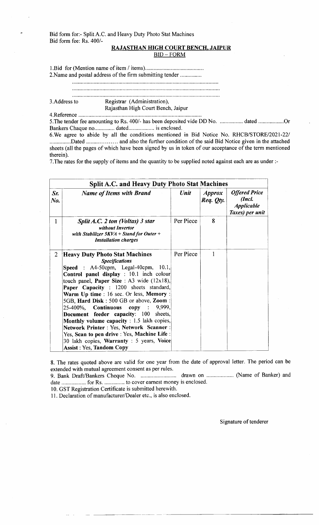Bid form for:- SplitA.C. and Heavy Duty Photo Stat Machines Bid form fee: Rs. 400/-

# RAJASTHAN HIGH COURT BENCH. JAIPUR

 $BID - FORM$ 

l.Bid for (Mention name of item / items).......

2.Name and postal address of the firm submitting tender

3.Address to Registrar (Administration), Rajasthan High Court Bench, Jaipur

4.Reference

5. The tender fee amounting to Rs. 400/- has been deposited vide DD No. ................. dated .................Or Bankers Chaque no............,. dated.................. is enclosed.

6.We agree to abide by all the conditions mentioned in Bid Notice No. RHCB/STORE/2021-221 ...............Dated ............... .... and also the further condition of the said Bid Notice given in the attached sheets (all the pages of which have been signed by us in token of our acceptance of the term mentioned therein).

7. The rates for the supply of items and the quantity to be supplied noted against each are as under :-

| <b>Split A.C. and Heavy Duty Photo Stat Machines</b> |                                                                                                                                                                                                                                                                                                                                                                                                                                                                                                                                                                                                                                                                   |           |                            |                                                                        |  |  |
|------------------------------------------------------|-------------------------------------------------------------------------------------------------------------------------------------------------------------------------------------------------------------------------------------------------------------------------------------------------------------------------------------------------------------------------------------------------------------------------------------------------------------------------------------------------------------------------------------------------------------------------------------------------------------------------------------------------------------------|-----------|----------------------------|------------------------------------------------------------------------|--|--|
| Sr.<br>No.                                           | <b>Name of Items with Brand</b>                                                                                                                                                                                                                                                                                                                                                                                                                                                                                                                                                                                                                                   | Unit      | <i>Approx</i><br>Req. Qty. | <b>Offered Price</b><br>(Incl.<br><b>Applicable</b><br>Taxes) per unit |  |  |
| 1                                                    | Split A.C. 2 ton (Voltas) 3 star<br>without Invertor<br>with Stabilizer $5KVA + Stand$ for Outer +<br><b>Installation charges</b>                                                                                                                                                                                                                                                                                                                                                                                                                                                                                                                                 | Per Piece | 8                          |                                                                        |  |  |
| $\overline{2}$                                       | <b>Heavy Duty Photo Stat Machines</b><br><b>Specifications</b><br><b>Speed</b> : A4-50cpm, Legal-40cpm, $10.1$ ,<br>Control panel display : 10.1 inch colour<br>touch panel, Paper Size : A3 wide (12x18),<br>Paper Capacity : 1200 sheets standard,<br>Warm Up time: 16 sec. Or less, Memory:<br>5GB, Hard Disk: 500 GB or above, Zoom:<br>25-400%, Continuous<br>copy:<br>9,999,<br>Document feeder capacity: 100 sheets,<br><b>Monthly volume capacity</b> : 1.5 lakh copies,<br><b>Network Printer: Yes, Network Scanner:</b><br>Yes, Scan to pen drive : Yes, Machine Life :<br>30 lakh copies, Warranty : 5 years, Voice<br><b>Assist: Yes, Tandom Copy</b> | Per Piece | 1                          |                                                                        |  |  |

8. The rates quoted above are valid for one year from the date of approval letter. The period can be extended with mutual agreement consent as per rules.

9. Bank Draft/Bankers Cheque No. drawn on ................... (Name of Banker) and date ................. for Rs. .............. to cover earnest money is enclosed.

10. GST Registration Certificate is submitted herewith.

l1 . Declaration of manufacturer/Dealer etc.. is also enclosed.

Signature of tenderer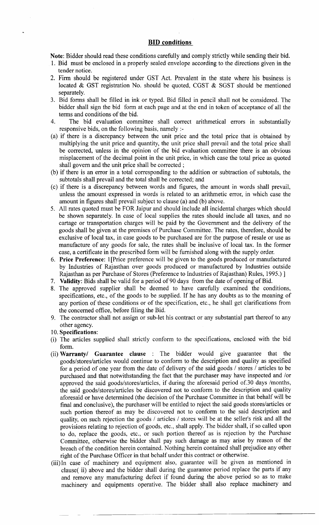### BID conditions

Note: Bidder should read these conditions carefully and comply strictly while sending their bid.

- 1. Bid must be enclosed in a properly sealed envelope according to the directions given in the tender notice.
- 2. Firm should be registered under GST Act. Prevalent in the state where his business is located & GST registration No. should be quoted, CGST & SGST should be mentioned separately.
- 3. Bid forms shall be filled in ink or typed. Bid filled in pencil shall not be considered. The bidder shall sign the bid form at each page and at the end in token of acceptance of all the terms and conditions of the bid.
- 4. The bid evaluation committee shall correct arithmetical errors in substantially responsive bids, on the following basis, namely :-
- (a) if there is a discrepancy between the unit price and the total price that is obtained by multiplying the unit price and quantity, the unit price shall prevail and the total price shall be corrected, unless in the opinion of the bid evaluation committee there is an obvious misplacement of the decimal point in the unit price, in which case the total price as quoted shall govern and the unit price shall be corrected ;
- (b) if there is an error in a total corresponding to the addition or subtraction of subtotals, the subtotals shall prevail and the total shall be corrected; and
- (c) if there is a discrepancy between words and figures, the amount in words shall prevail, unless the amount expressed in words is related to an arithmetic error, in which case the amount in figures shall prevail subject to clause (a) and (b) above.
- 5. All rates quoted must be FOR Jaipur and should include all incidental charges which should be shown separately. In case of local supplies the rates should include all taxes, and no cartage or transportation charges will be paid by the Govemment and the delivery of the goods shall be given at the premises of Purchase Committee. The rates, therefore, should be exclusive of local tax, in case goods to be purchased are for the purpose of resale or use as manufacture of any goods for sale, the rates shall be inclusive of local tax. In the former case, a certificate in the prescribed form will be furnished along with the supply order.
- 6. Price Preference: 1[Price preference will be given to the goods produced or manufactured by Industries of Rajasthan over goods produced or manufactured by Industries outside Rajasthan as per Purchase of Stores (Preference to Industries of Rajasthan) Rules, 1995.) ]
- <sup>7</sup>. Validity: Bids shall be valid for a period of 90 days from the date of opening of Bid.
- 8. The approved supplier shall be deemed to have carefully examined the conditions, specifications, etc., of the goods to be supplied. If he has any doubts as to the meaning of any portion of these conditions or of the specification, etc., he shall get clarifications from the concerned office, before filing the Bid.
- 9. The contractor shall not assign or sub-let his contract or any substantial part thereof to any other agency.
- 10. Specifications:
- (i) The articles supplied shall strictly conform to the specifications, enclosed with the bid form.
- (ii) Warranty/ Guarantee clause : The bidder would give guarantee that the goods/stores/articles would continue to conform to the description and quality as specified for a period of one year from the date of delivery of the said goods / stores / articles to be purchased and that notwithstanding the fact that the purchaser may have inspected and /or approved the said goods/stores/articles, if during the aforesaid period of.30 days /months, the said goods/stores/articles be discovered not to conform to the description and quality aforesaid or have determined (the decision of the Purchase Committee in that behalf will be final and conclusive), the purchaser will be entitled to reject the said goods stores/articles or such portion thereof as may be discovered not to conform to the said description and quality, on such rejection the goods / articles / stores will be at the seller's risk and all the provisions relating to rejection of goods, etc., shall apply. The bidder shall, if so called upon to do, replace the goods, etc., or such portion thereof as is rejection by the Purchase Committee, otherwise the bidder shall pay such damage as may arise by reason of the breach of the condition herein contained. Nothing herein contained shall prejudice any other right of the Purchase Officer in that behalf under this contract or otherwise.
- (iii)In case of machinery and equipment also, guarantee will be given as mentioned in clause( ii) above and the bidder shall during the guarantee period replace the parts if any and remove any manufacturing defect if found during the above period so as to make machinery and equipments operative. The bidder shall also replace machinery and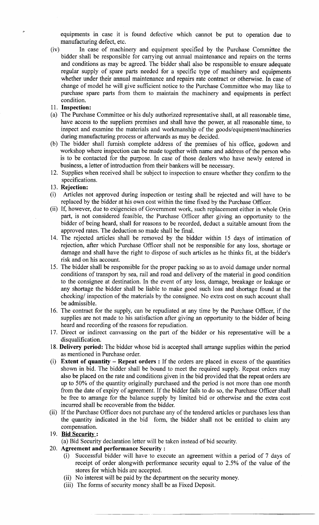equipments in case it is found defective which cannot be put to operation due to manufacturing defect, etc.

- (iv) In case of machinery and equipment specified by the Purchase Committee the bidder shall be responsible for canying out annual maintenance and repairs on the terms and conditions as may be agreed. The bidder shall also be responsible to ensure adequate regular supply of spare parts needed for a specific type of machinery and equipments whether under their annual maintenance and repairs rate contract or otherwise. In case of change of model he will give sufficient notice to the Purchase Committee who may like to purchase spare parts from them to maintain the machinery and equipments in perfect condition.
- <sup>I</sup>l. Inspection:
- (a) The Purchase Committee or his duly authorized representative shall, at all reasonable time, have access to the suppliers premises and shall have the power, at all reasonable time, to inspect and examine the materials and workmanship of the goods/equipment/machineries during manufacturing process or afterwards as may be decided.
- (b) The bidder shall furnish complete address of the premises of his office, godown and workshop where inspection can be made together with name and address of the person who is to be contacted for the purpose. In case of those dealers who have newly entered in business, a letter of introduction from their bankers will be necessary
- 12. Supplies when received shall be subject to inspection to ensure whether they confirm to the specifications.
- 13. Rejection:
- (i) Anicles not approved during inspection or testing shall be rejected and will have to be replaced by the bidder at his own cost within the time fixed by the Purchase Officer.
- (ii) If, however, due to exigencies of Govemment work, such replacement either in whole Orin part, is not considered feasible, the Purchase Officer after giving an opportunity to the bidder of being heard, shall for reasons to be recorded, deduct a suitable amount from the approved rates. The deduction so made shall be final.
- 14. The rejected articles shall be removed by the bidder within 15 days of intimation of rejection, after which Purchase Officer shall not be responsible for any loss, shortage or damage and shall have the right to dispose of such articles as he thinks fit, at the bidder's risk and on his account.
- 15. The bidder shall be responsible for the proper packing so as to avoid damage under normal conditions of transport by sea, rail and road and delivery of the material in good condition to the consignee at destination. In the event of any loss, damage, breakage or leakage or any shortage the bidder shall be liable to make good such loss and shortage found at the checking/ inspection of the materials by the consignee. No extra cost on such account shall be admissible.
- 16. The contract for the supply, can be repudiated at any time by the Purchase Officer, if the supplies are not made to his satisfaction after giving an opportunity to the bidder of being heard and recording of the reasons for repudiation.
- 17. Direct or indirect canvassing on the part of the bidder or his representative will be <sup>a</sup> disqualification.
- 18. Delivery period: The bidder whose bid is accepted shall arrange supplies within the period as mentioned in Purchase order.
- (i) Extent of quantity  $-$  Repeat orders : If the orders are placed in excess of the quantities shown in bid. The bidder shall be bound to meet the required supply. Repeat orders may also be placed on the rate and conditions given in the bid provided that the repeat orders are up to 50% of the quantity originally purchased and the period is not more than one month from the date of expiry of agreement. If the bidder fails to do so, the Purchase Officer shall be free to arrange for the balance supply by limited bid or otherwise and the extra cost incurred shall be recoverable from the bidder.
- (ii) If the Purchase Officer does not purchase any of the tendered articles or purchases less than the quantity indicated in the bid form, the bidder shall not be entitled to claim any compensation.

### 19. Bid Security:

(a) Bid Security declaration letter will be taken instead of bid security.

- 20. Agreement and performance Security :
	- (i) Successful bidder will have to execute an agreement within a period of 7 days of receipt of order alongwith performance security equal to 2.5% of the value of the stores for which bids are accepted.
	- (ii) No interest will be paid by the department on the security money.
	- (iii) The forms of security money shall be as Fixed Deposit.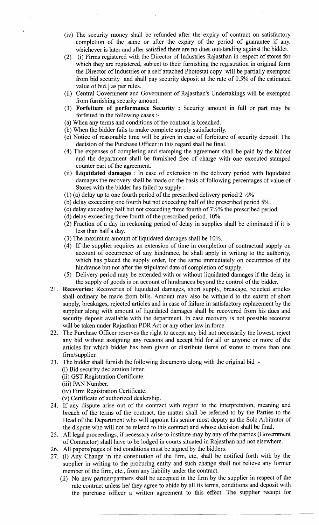- (iv) The security money shall be refunded after the expiry of contract on satisfactory completion of the same or after the expiry of the period of guarantee if any, whichever is later and after satisfied there are no dues outstanding against the bidder.
- (2) (i) Firms registered with the Director of Industries Rajasthan in respect of stores for which they are registered, subject to their furnishing the registration in original form the Director of Industries or a self attached Photostat copy will be partially exempted from bid security and shall pay security deposit at the rate of 0.5% of the estimated value of bid.] as per rules.
- (ii) Central Government and Government of Rajasthan's Undertakings will be exempted from furnishing security amount.
- (3) Forfeiture of performance Security : Security amount in full or part may be forfeited in the following cases :-
- (a) When any terms and conditions of the contract is breached.
- (b) When the bidder fails to make complete supply satisfactorily.
- (c) Notice of reasonable time will be given in case of forfeiture of security deposit. The decision of the Purchase Officer in this regard shall be final.
- (4) The expenses of completing and stamping the agreement shall be paid by the bidder and the department shall be furnished free of charge with one executed stamped counter part of the agreement.
- (ii) Liquidated damages : In case of extension in the delivery period with liquidated damages the recovery shall be made on the basis of following percentages of value of Stores with the bidder has failed to supply :-
- (1) (a) delay up to one fourth period of the prescribed delivery period  $2\frac{1}{2}\%$
- (b) delay exceeding one fourth but not exceeding half of the prescribed period 5%.
- (c) delay exceeding half but not exceeding three fourth of  $7\frac{1}{2}\%$  the prescribed period.
- (d) delay exceeding three fourth of the prescribed period. 10%
- (2) Fraction of a day in reckoning period of delay in supplies shall be eliminated if it is less than half a day.
- (3) The maximum amount of liquidated damages shall be 10%.
- (4) If the supplier requires an extension of time in completion of contractual supply on account of occurrence of any hindrance, he shall apply in writing to the authority, which has placed the supply order, for the same immediately on occurrence of the hindrance but not after the stipulated date of completion of supply.
- (5) Delivery period may be extended with or without liquidated damages if the delay in the supply of goods is on account of hindrances beyond the control of the bidder.
- 21. Recoveries: Recoveries of liquidated damages, short supply, breakage, rejected articles shall ordinary be made from bills. Amount may also be withheld to the extent of short supply, breakages, rejected articles and in case of failure in satisfactory replacement by the supplier along with amount of liquidated damages shall be recovered from his dues and security deposit available with the department. In case recovery is not possible recourse will be taken under Rajasthan PDR Act or any other law in force.
- 22. The Purchase Officer reserves the right to accept any bid not necessarily the lowest, reject any bid without assigning any reasons and accept bid for all or anyone or more of the articles for which bidder has been given or distribute items of stores to more than one firm/supplier.
- 23. The bidder shall furnish the following documents along with the original bid :-
	- (i) Bid security declaration letter.
	- (ii) GST Registration Certificate.
	- (iii) PAN Number.
	- (iv) Firm Registration Certificate.
	- (v) Certificate of authorized dealership.
- 24. If any dispute arise out of the contract with regard to the interpretation, meaning and breach of the terms of the contract, the matter shall be referred to by the Parties to the Head of the Department who will appoint his senior most deputy as the Sole Arbitrator of the dispute who will not be related to this contract and whose decision shall be final.
- 25. All legal proceedings, if necessary arise to institute may by any of the parties (Govemment of Contractor) shall have to be lodged in courts situated in Rajasthan and not elsewhere.
- 26. All papers/pages of bid conditions must be signed by the bidders.
- 27. (i) Any Change in the constitution of the firm, etc, shall be notified forth with by the supplier in writing to the procuring entity and such change shall not relieve any former member of the firm, etc., from any liability under the contract.
	- (ii) No new partner/partners shall be accepted in the firm by the supplier in respect of the rate contract unless he/ they agree to abide by all its terms, conditions and deposit with the purchase officer a written agreement to this effect. The supplier receipt for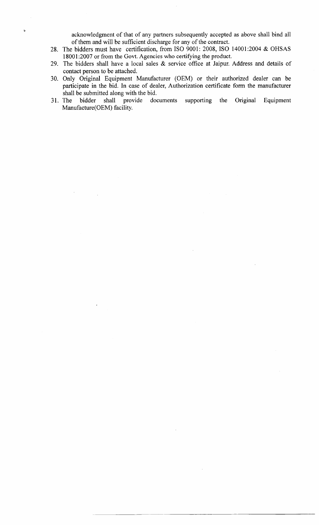acknowledgment of that of any partners subsequently accepted as above shall bind all of them and will be sufficient discharge for any of the contract.

- 28. The bidders must have certification, from ISO 9001: 2008, ISO 14001:2004 & OHSAS 18001:2007 or from the Govt. Agencies who certifying the product.
- 29. The bidders shall have a local sales & service office at Jaipur. Address and details of contact person to be attached.
- 30. Only Original Equipment Manufacturer (OEM) or their authorized dealer can be participate in the bid. In case of dealer, Authorization certificate form the manufacturer shall be submitted along with the bid.<br>The bidder shall provide doc
- 31. The bidder shall provide documents supporting the Original Equipment Manufacture (OEM) facility.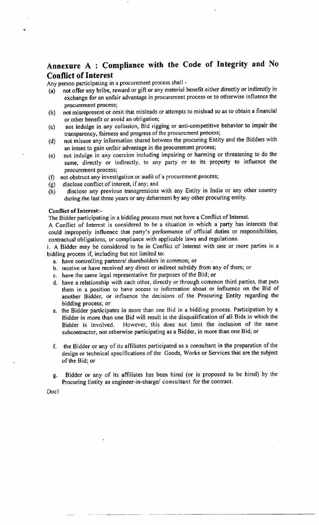# Annexure A : Compliance with the Code of Integrity and No Conflict of Interest

Any person participating in a procurement process shall -

- (a) not offer any bribe, reward or gift or any material benefit either directly or indirectly in exchange for an unfair advantage in procurement process or to otherwise influence the procurement process;
- (b) not misrepresent or omit that misleads or attempts to mislead so as to obtain a financial or other benefit or avoid an obligation;
- not indulge in any collusion, Bid rigging or anti-competitive behavior to impair the transparency, fairness and progress of the procurement process; (c)
- not misuse any information shared between the procuring Entity and the Bidders with an intent to gain unfair advantage in the procurement process; (d)
- not indulge in any coercion including impairing or harming or threatening to do the same, directly or indirectly, to any Party or to its property to influence the procurement process; (e)
- not obstruct any investigation or audit of a procurement process; (f)
- disclose conflict of interest, if any; and (e)
- disclose any previous transgressions with any Entity in India or any other country during the last three years or any debarment by any other procuring entity. (h)

#### Conflict of Interest:-

The Bidder participating in a bidding process must not have a Conflict of Interest.

A Conflict of Interest is considered to be a situation in which a party has interests that could improperly influence that party's performance of official duties or responsibilities, contractual obligations, or compliance with applicable laws and regulations.

i. A Bidder may be considered to be in Conflict of Interest with one or more parties in <sup>a</sup> bidding process if, including but not limited to:

- a. have controlling partners/ shareholders in common; or
- b. receive or have received any direct or indirect subsidy from any of them; or
- c. have the same legal representative for purposes of the Bid; or
- d. have a relationship with each other, directly or through common third parties, that puts them in a position to have access to information about or influence on the Bid of another Bidder, or influence the decisions of the Procuring Entity regarding the bidding process; or
- e. the Bidder participates in more than one Bid in a bidding process. Participation by <sup>a</sup> Bidder in more than one Bid will result in the disqualification of all Bids in which the Bidder is involved. However, this does not limit the inclusion of the same subcontractor, not otherwise participating as a Bidder, in more than one Bid; or
- f. the Bidder or any of its affiliates participated as a consultant in the preparation of the design or technical specifications of the Goods, Works or Services that are the subject of the Bid; or
- g. Bidder or any of its affrliates has been hired (or is proposed to be hired) by the Procuring Entity as engineer-in-charge/ consultant for the contract,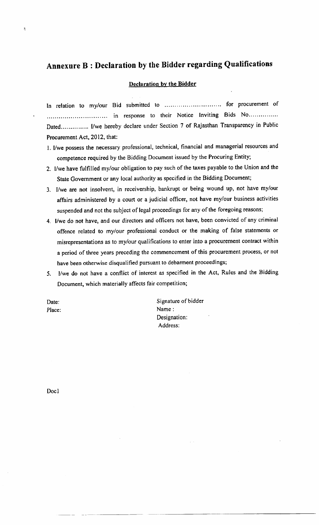# Annexure B : Declaration by the Bidder regarding Qualifications

#### Declaration bv the Bidder

In relation to my/our Bid submitted to .............................. for procurement of in response to their Notice Inviting Bids No'. . . Dated............... I/we hereby declare under Section 7 of Rajasthan Transparency in Public Procurement Act, 2012, that:

- l. I/we possess the necessary professional, technical, financial and managerial resources and competence required by the Bidding Document issued by the Procuring Entity;
- 2. llwe have fulfilled my/our obligation to pay such of the taxes payable to the Union and the State Government or any local authority as specified in the Bidding Document;
- 3. I/we are not insolvent, in receivership, bankrupt or being wound up, not have my/our affairs administered by a court or a judicial officer, not have my/our business activities suspended and not the subject of legal proceedings for any of the foregoing reasons;
- 4. l/we do not have, and our directors and officers not have, been convicted of any criminal offence related to my/our professional conduct or the making of false statements or misrepresentations as to my/our qualifications to enter into a procurement contract within a period of three years preceding the commencement of this procurement process, or not have been otherwise disqualified pursuant to debarment proceedings;
- 5. l/we do not have a conflict of interest as specified in the Act, Rules and the Bidding Document, which materially affects fair competition;

Date: Place:

ŧ

Signature of bidder Name: Designation: Address: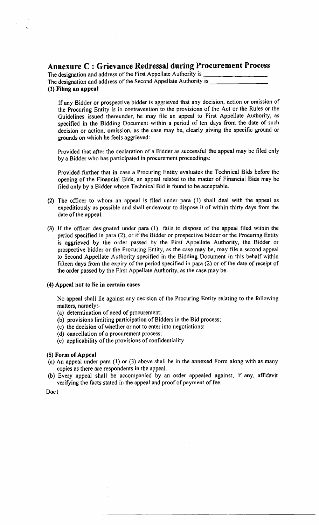# Annexure C : Grievance Redressal during Procurement Process

| The designation and address of the First Appellate Authority is  |  |
|------------------------------------------------------------------|--|
| The designation and address of the Second Appellate Authority is |  |
| (1) Filing an appeal                                             |  |

If any Bidder or prospective bidder is aggrieved that any decision, action or omission of the Procuring Entity is in contravention to the provisions of the Act or the Rules or the Guidelines issued thereunder, he may file an appeal to First Appellate Authority, as specified in the Bidding Document within a period of ten days from the date of such decision or action, omission, as the case may be, clearly giving the specific ground or grounds on which he feels aggrieved:

Provided that after the declaration of a Bidder as successful the appeal may be filed only by a Bidder who has participated in procurement proceedings:

Provided further that in case a Procuring Entity evaluates the Technical Bids before the opening of the Financial Bids, an appeal related to the matter of Financial Bids may be filed only by a Bidder whose Technical Bid is found to be acceptable.

- (2) The officer to whom an appeal is filed under para (1) shall deal with the appeal as expeditiously as possible and shall endeavour to dispose it of within thirty days from the date of the appeal.
- (3) If the officer designated under para (l) fails to dispose of the appeal filed within the period specified in para (2), or if the Bidder or prospective bidder or the Procuring Entity is aggrieved by the order passed by the First Appellate Authority, the Bidder or prospective bidder or the Procuring Entity, as the case may be, may file a second appeal to Second Appellate Authority specified in the Bidding Document in this behalf within fifteen days from the expiry of the period specified in para (2) or of the date of receipt of the order passed by the First Appellate Authority, as the case may be.

### (4) Appeal not to lie in certain cases

No appeal shall lie against any decision of the Procuring Entity relating to the following matters, namely:-

- (a) determination of need of procurement;
- (b) provisions limiting participation of Bidders in the Bid process;
- (c) the decision of whether or not to enter lnto negotiations;
- (d) cancellation of a procurement process;
- (e) applicability of the provisions of confidentiality.

### (5) Form of Appeal

- (a) An appeal under para (l) or (3) above shall be in the annexed Form along with as many copies as there are respondents in the appeal.
- (b) Every appeal shall be accompanied by an order appealed against, if any, affidavit verifying the facts stated in the appeal and proof of payment of fee.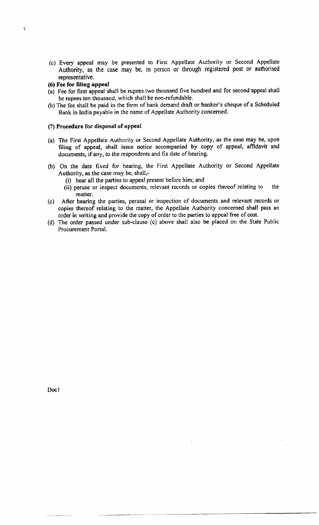- (c) Every appeal may be presented to First Appellate Authority or Second Appellate Authority, as the case may be, in person or through registered post or authorised representative.
- (6) Fee for filing appeal

Ë

- (a) Fee for first appeal shall be rupees two thousand five hundred and for second'appeal shatl be rupees ten thousand, which shall be non-refundable.
- (b) The fee shall be paid in the form of bank demand draft or banker's cheque of a Scheduled Bank in India payable in the name of Appellate Authority concerned.

### (7) Procedure for disposal of appeal

- (a) The First Appellate Authority or Second Appellate Authority, as the case may be, upon filing of appeal, shall issue notice accompanied by copy of appeal, affidavit and documents, if any, to the respondents and fix date of hearing.
- (b) On the date fixed for hearing, the First Appellate Authority or Second Appellate Authority, as the case may be, shall,-
	- (i) hear all the parties to appeal present before him; and
	- (ii) peruse or inspect documents, relevant records or copies thereof relating to the matter.
- (c) After hearing the parties, perusal or inspection of documents and relevant records or copies thereof relating to the matter, the Appellate Authority concerned shall pass an order in writing and provide the copy of order to the parties to appeal free of cost.
- (d) The order passed under sub-clause (c) above shall also be placed on the State Public Procurement Portal.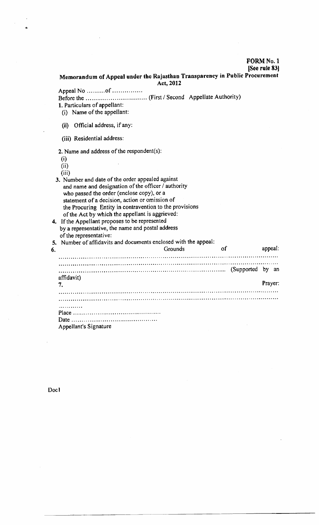FORM No. I

[See rule <sup>831</sup>

### Memorandum of Appeal under the Rajasthan Transparency in Public Procurement Act,2012

Appeal No ..........of ........... Before the ... ... (First / Second Appellate Authority)

- l. Particulars of appellant:
- (i) Name of the appellant:
- (ii) Official address, if anY:
- (iii) Residential address:

2. Name and address of the respondent(s):

(i)  $(ii)$  $(iii)$ 3. Number and date of the order appealed against and name and designation of the officer / authority who passed the order (enclose copy), or a statement of a decision, action or omission of the Procuring Entity in contravention to the provisions of the Act by which the appellant is aggrieved: 4. If the Appellant proposes to be represented by a representative, the name and postal address of the representative: 5. Number of affidavits and documents enclosed with the appeal: 6. Grounds of appeal (Supportcd by an affidavit) Prayer:7. Place Date. Appellant's Signature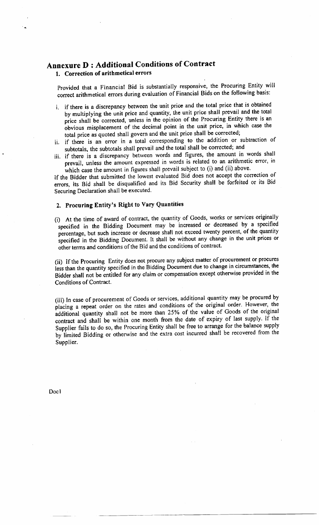# Annexure D : Additional conditions of Contract 1. Correction of arithmetical errors

Provided that a Financial Bid is substantially responsive, the Procuring Entity will correct arithmetical errors during evaluation of Financial Bids on the following basis:

- i. if there is a discrepancy between the unit price and the total price that is obtained by multiplying the unit price and quantity, the unit price shall prevail and the total price shall be corrected, unless in the opinion of the Procuring Entity there is an obvious misplacement of the decimal point in the unit price, in which case the total price as quoted shall govern and the unit price shall be corrected;
- ii. if there is an error in a total corresponding to the addition or subtraction of subtotals, the subrotals shall prevail and the total shall be corrected; and
- iii. if there is a discrepancy between words and figures, the amount in words shall prevail, unless the amount expressed in words is related to an arithmetic error, in which case the amount in figures shall prevail subject to (i) and (ii) above.

If the Bidder that submitted the lowest evaluated Bid does not accept the correction of errors, its Bid shall be disqualified and its Bid Security shall be forfeited or its Bid Securing Declaration shall be executed.

#### 2. Procuring Entity's Right to Vary Quantities

(i) At the time of award of contract, the quantity of Goods, works or services originally specified in the Bidding Document may be increased or decreased by a specified percentage, but such increase or decrease shall not exceed twenty percent, of the quantity specified in the Bidding Document. It shall be without any change in the unit prices or other terms and conditions of the Bid and the conditions of contract.

(ii) If the Procuring Entity does not procure any subject matter of procurement or procures less than the quantity specified in the Bidding Document due to change in circumstances, the Bidder shall not be entitled for any claim or compensation except otherwise provided in the Conditions of Contract.

(iii) In case of procurement of Goods or services, additional quantity may be procured by placing a repeat order on the rates and conditions of the original order. However, the additional quantity shall not be more than 25% of the value of Goods of the original contract and shali be within one month from the date of expiry of last supply. If the Supplier fails to do so, the Procuring Entity shall be free to arrange for the balance supply by limited Bidding or otherwise and the extra cost incurred shall be recovered from the Supplier.